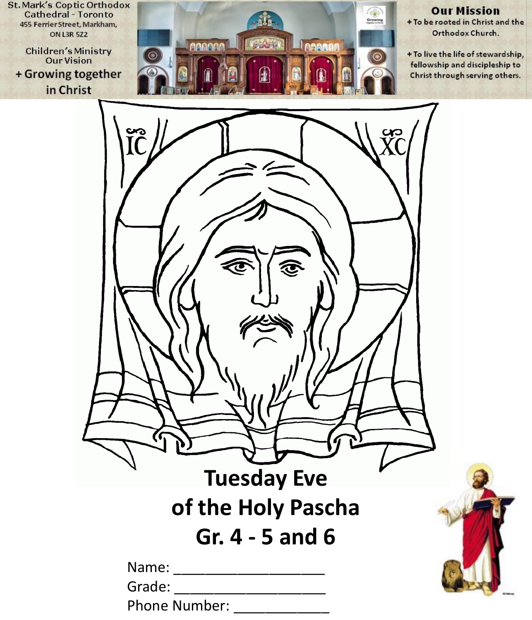**St. Mark's Coptic Orthodox Cathedral - Toronto** 455 Ferrier Street, Markham, **ON L3R 5Z2** 

**Children's Ministry Our Vision** + Growing together in Christ



#### **Our Mission**

+ To be rooted in Christ and the Orthodox Church.

+ To live the life of stewardship, fellowship and discipleship to Christ through serving others.

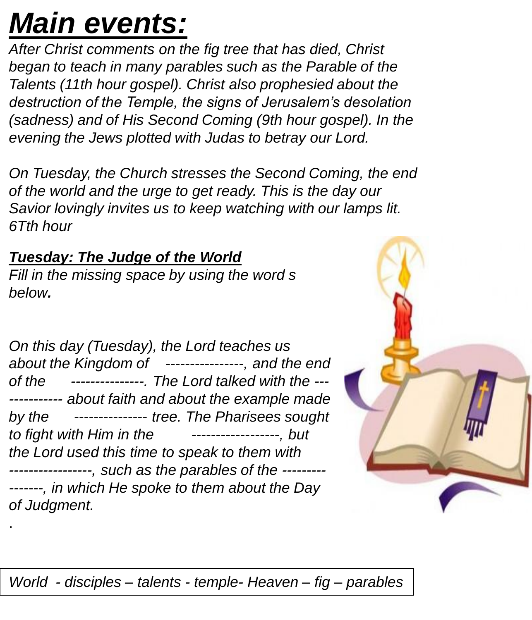# *Main events:*

*After Christ comments on the fig tree that has died, Christ began to teach in many parables such as the Parable of the Talents (11th hour gospel). Christ also prophesied about the destruction of the Temple, the signs of Jerusalem's desolation (sadness) and of His Second Coming (9th hour gospel). In the evening the Jews plotted with Judas to betray our Lord.* 

*On Tuesday, the Church stresses the Second Coming, the end of the world and the urge to get ready. This is the day our Savior lovingly invites us to keep watching with our lamps lit. 6Tth hour*

## *Tuesday: The Judge of the World*

.

*Fill in the missing space by using the word s below.*

*On this day (Tuesday), the Lord teaches us about the Kingdom of ----------------, and the end of the ---------------. The Lord talked with the --- ----------- about faith and about the example made by the --------------- tree. The Pharisees sought to fight with Him in the ------------------, but the Lord used this time to speak to them with -----------------, such as the parables of the --------- -------, in which He spoke to them about the Day of Judgment.*



*World - disciples – talents - temple- Heaven – fig – parables*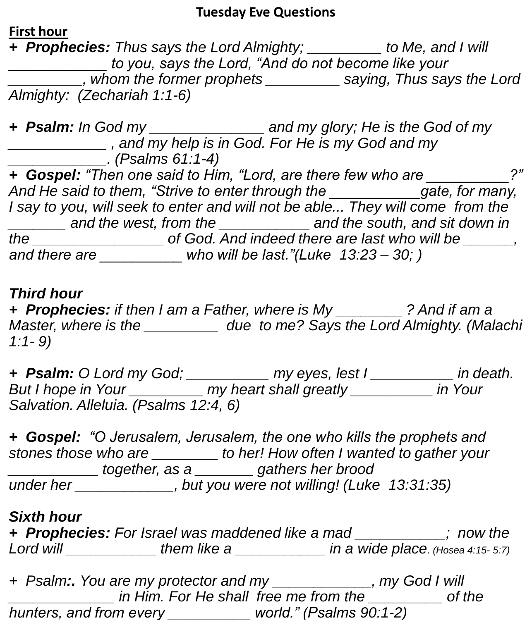#### **Tuesday Eve Questions**

**First hour**

*+ Prophecies: Thus says the Lord Almighty; \_\_\_\_\_\_\_\_\_ to Me, and I will \_\_\_\_\_\_\_\_\_\_\_\_ to you, says the Lord, "And do not become like your \_\_\_\_\_\_\_\_\_, whom the former prophets \_\_\_\_\_\_\_\_\_ saying, Thus says the Lord Almighty: (Zechariah 1:1-6)*

*+ Psalm: In God my \_\_\_\_\_\_\_\_\_\_\_\_\_\_ and my glory; He is the God of my \_\_\_\_\_\_\_\_\_\_\_\_ , and my help is in God. For He is my God and my \_\_\_\_\_\_\_\_\_\_\_\_. (Psalms 61:1-4) + Gospel: "Then one said to Him, "Lord, are there few who are \_\_\_\_\_\_\_\_\_\_?" And He said to them, "Strive to enter through the \_\_\_\_\_\_\_\_\_\_\_gate, for many, I* say to you, will seek to enter and will not be able... They will come from the *\_\_\_\_\_\_\_ and the west, from the \_\_\_\_\_\_\_\_\_\_\_ and the south, and sit down in the \_\_\_\_\_\_\_\_\_\_\_\_\_\_\_\_ of God. And indeed there are last who will be \_\_\_\_\_\_, and there are \_\_\_\_\_\_\_\_\_\_ who will be last."(Luke 13:23 – 30; )*

#### *Third hour*

*+ Prophecies: if then I am a Father, where is My \_\_\_\_\_\_\_\_ ? And if am a Master, where is the \_\_\_\_\_\_\_\_\_ due to me? Says the Lord Almighty. (Malachi 1:1- 9)*

*+ Psalm: O Lord my God; \_\_\_\_\_\_\_\_\_\_ my eyes, lest I \_\_\_\_\_\_\_\_\_\_ in death. But I hope in Your \_\_\_\_\_\_\_\_\_ my heart shall greatly \_\_\_\_\_\_\_\_\_\_ in Your Salvation. Alleluia. (Psalms 12:4, 6)*

*+ Gospel: "O Jerusalem, Jerusalem, the one who kills the prophets and stones those who are \_\_\_\_\_\_\_\_ to her! How often I wanted to gather your \_\_\_\_\_\_\_\_\_\_\_ together, as a \_\_\_\_\_\_\_ gathers her brood under her \_\_\_\_\_\_\_\_\_\_\_\_, but you were not willing! (Luke 13:31:35)*

#### *Sixth hour*

*+ Prophecies: For Israel was maddened like a mad \_\_\_\_\_\_\_\_\_\_\_; now the Lord will \_\_\_\_\_\_\_\_\_\_\_ them like a \_\_\_\_\_\_\_\_\_\_\_ in a wide place. (Hosea 4:15- 5:7)*

*+ Psalm:. You are my protector and my \_\_\_\_\_\_\_\_\_\_\_\_, my God I will \_\_\_\_\_\_\_\_\_\_\_\_\_ in Him. For He shall free me from the \_\_\_\_\_\_\_\_\_ of the hunters, and from every \_\_\_\_\_\_\_\_\_\_ world." (Psalms 90:1-2)*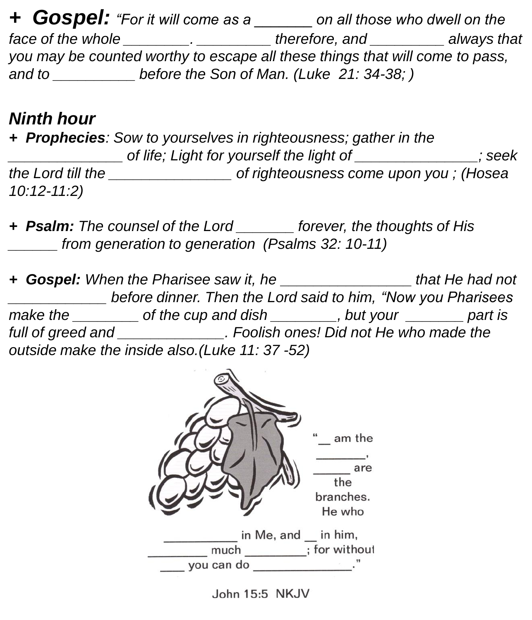*+ Gospel: "For it will come as a \_\_\_\_\_\_\_ on all those who dwell on the face of the whole \_\_\_\_\_\_\_\_. \_\_\_\_\_\_\_\_\_ therefore, and \_\_\_\_\_\_\_\_\_ always that you may be counted worthy to escape all these things that will come to pass,*  and to **before the Son of Man. (Luke 21: 34-38;** )

## *Ninth hour*

*+ Prophecies: Sow to yourselves in righteousness; gather in the \_\_\_\_\_\_\_\_\_\_\_\_\_\_ of life; Light for yourself the light of \_\_\_\_\_\_\_\_\_\_\_\_\_\_\_; seek the Lord till the \_\_\_\_\_\_\_\_\_\_\_\_\_\_\_ of righteousness come upon you ; (Hosea 10:12-11:2)*

*+ Psalm: The counsel of the Lord \_\_\_\_\_\_\_ forever, the thoughts of His \_\_\_\_\_\_ from generation to generation (Psalms 32: 10-11)*

*+ Gospel: When the Pharisee saw it, he \_\_\_\_\_\_\_\_\_\_\_\_\_\_\_\_ that He had not \_\_\_\_\_\_\_\_\_\_\_\_ before dinner. Then the Lord said to him, "Now you Pharisees make the \_\_\_\_\_\_\_\_ of the cup and dish \_\_\_\_\_\_\_\_, but your \_\_\_\_\_\_\_ part is full of greed and \_\_\_\_\_\_\_\_\_\_\_\_\_. Foolish ones! Did not He who made the outside make the inside also.(Luke 11: 37 -52)*



John 15:5 NKJV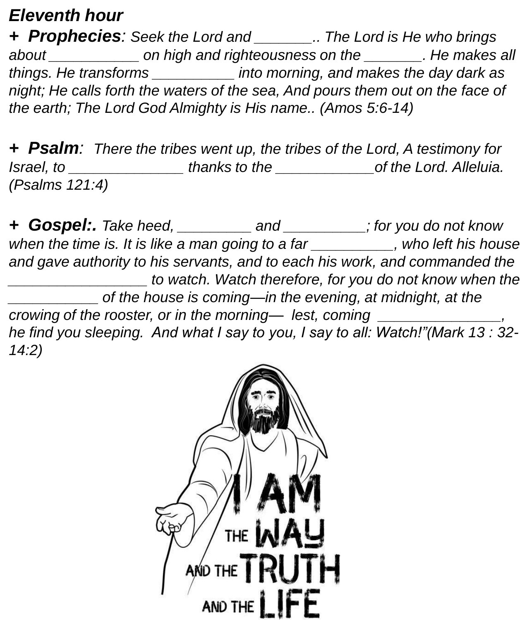## *Eleventh hour*

*+ Prophecies: Seek the Lord and \_\_\_\_\_\_\_.. The Lord is He who brings about \_\_\_\_\_\_\_\_\_\_\_ on high and righteousness on the \_\_\_\_\_\_\_. He makes all things. He transforms \_\_\_\_\_\_\_\_\_\_ into morning, and makes the day dark as night; He calls forth the waters of the sea, And pours them out on the face of the earth; The Lord God Almighty is His name.. (Amos 5:6-14)*

*+ Psalm: There the tribes went up, the tribes of the Lord, A testimony for Israel, to \_\_\_\_\_\_\_\_\_\_\_\_\_\_ thanks to the \_\_\_\_\_\_\_\_\_\_\_\_of the Lord. Alleluia. (Psalms 121:4)*

*+ Gospel:. Take heed, \_\_\_\_\_\_\_\_\_ and \_\_\_\_\_\_\_\_\_\_; for you do not know when the time is. It is like a man going to a far \_\_\_\_\_\_\_\_\_\_, who left his house and gave authority to his servants, and to each his work, and commanded the \_\_\_\_\_\_\_\_\_\_\_\_\_\_\_\_\_ to watch. Watch therefore, for you do not know when the \_\_\_\_\_\_\_\_\_\_\_ of the house is coming—in the evening, at midnight, at the crowing of the rooster, or in the morning— lest, coming \_\_\_\_\_\_\_\_\_\_\_\_\_\_\_, he find you sleeping. And what I say to you, I say to all: Watch!"(Mark 13 : 32- 14:2)* 

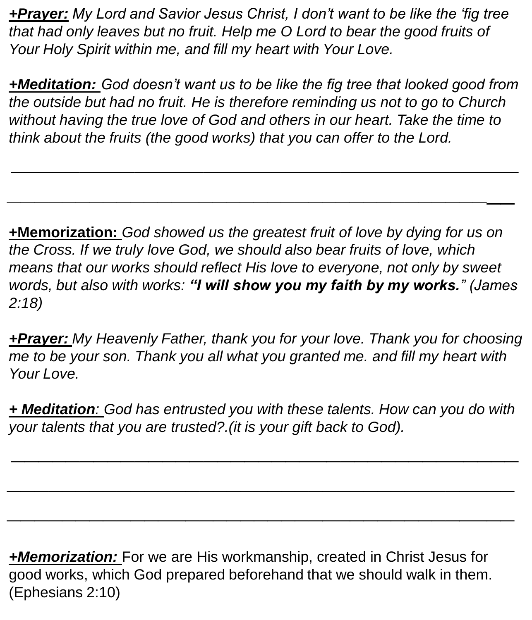*+Prayer: My Lord and Savior Jesus Christ, I don't want to be like the 'fig tree that had only leaves but no fruit. Help me O Lord to bear the good fruits of Your Holy Spirit within me, and fill my heart with Your Love.*

*+Meditation: God doesn't want us to be like the fig tree that looked good from the outside but had no fruit. He is therefore reminding us not to go to Church without having the true love of God and others in our heart. Take the time to think about the fruits (the good works) that you can offer to the Lord.*

*\_\_\_\_\_\_\_\_\_\_\_\_\_\_\_\_\_\_\_\_\_\_\_\_\_\_\_\_\_\_\_\_\_\_\_\_\_*

*\_\_\_\_\_\_\_\_\_\_\_\_\_\_\_\_\_\_\_\_\_\_\_\_\_\_\_\_\_\_\_\_\_\_\_\_\_*

**+Memorization:** *God showed us the greatest fruit of love by dying for us on the Cross. If we truly love God, we should also bear fruits of love, which means that our works should reflect His love to everyone, not only by sweet words, but also with works: "I will show you my faith by my works." (James 2:18)*

*+Prayer: My Heavenly Father, thank you for your love. Thank you for choosing me to be your son. Thank you all what you granted me. and fill my heart with Your Love.*

*+ Meditation: God has entrusted you with these talents. How can you do with your talents that you are trusted?.(it is your gift back to God).*

*\_\_\_\_\_\_\_\_\_\_\_\_\_\_\_\_\_\_\_\_\_\_\_\_\_\_\_\_\_\_\_\_\_\_\_\_\_*

*\_\_\_\_\_\_\_\_\_\_\_\_\_\_\_\_\_\_\_\_\_\_\_\_\_\_\_\_\_\_\_\_\_\_\_\_\_*

*\_\_\_\_\_\_\_\_\_\_\_\_\_\_\_\_\_\_\_\_\_\_\_\_\_\_\_\_\_\_\_\_\_\_\_\_\_*

*+Memorization:* For we are His workmanship, created in Christ Jesus for good works, which God prepared beforehand that we should walk in them. (Ephesians 2:10)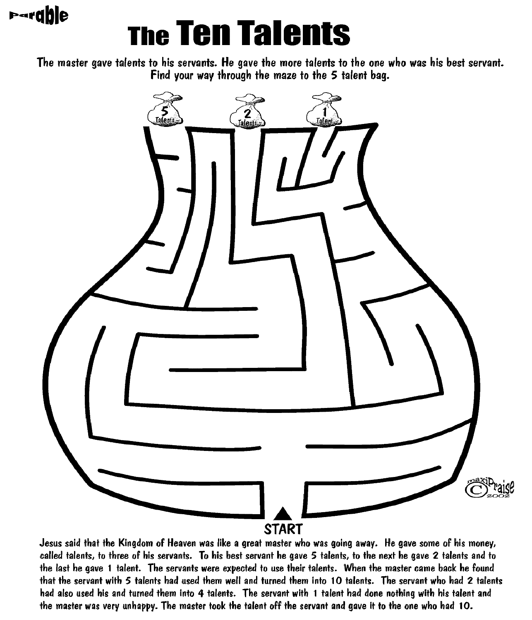# **Pardble**

# **The Ten Talents**

The master gave talents to his servants. He gave the more talents to the one who was his best servant. Find your way through the maze to the 5 talent bag.



Jesus said that the Kingdom of Heaven was like a great master who was going away. He gave some of his money, called talents, to three of his servants. To his best servant he gave 5 talents, to the next he gave 2 talents and to the last he gave 1 talent. The servants were expected to use their talents. When the master came back he found that the servant with 5 talents had used them well and turned them into 10 talents. The servant who had 2 talents had also used his and turned them into 4 talents. The servant with 1 talent had done nothing with his talent and the master was very unhappy. The master took the talent off the servant and gave it to the one who had 10.